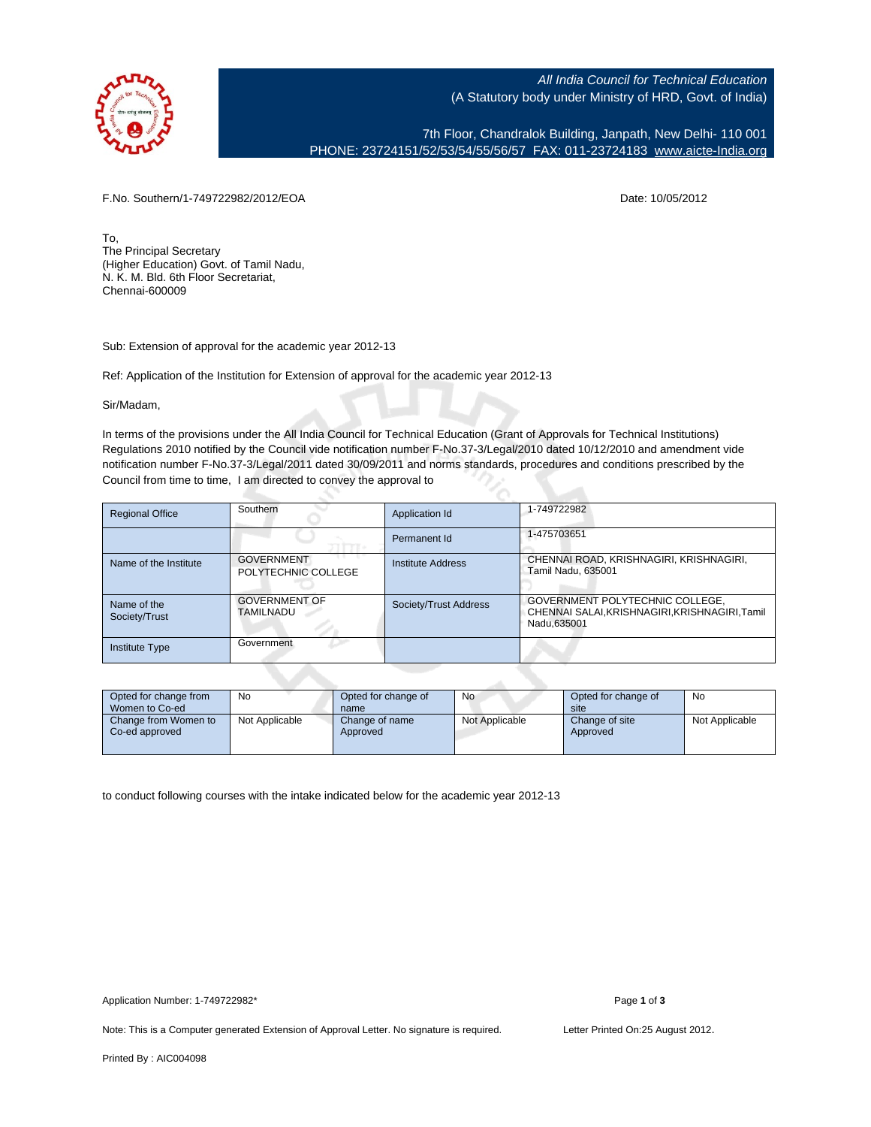

All India Council for Technical Education (A Statutory body under Ministry of HRD, Govt. of India)

7th Floor, Chandralok Building, Janpath, New Delhi- 110 001 PHONE: 23724151/52/53/54/55/56/57 FAX: 011-23724183 [www.aicte-India.org](http://www.aicte-India.org)

F.No. Southern/1-749722982/2012/EOA Date: 10/05/2012

To, The Principal Secretary (Higher Education) Govt. of Tamil Nadu, N. K. M. Bld. 6th Floor Secretariat, Chennai-600009

Sub: Extension of approval for the academic year 2012-13

Ref: Application of the Institution for Extension of approval for the academic year 2012-13

Sir/Madam,

In terms of the provisions under the All India Council for Technical Education (Grant of Approvals for Technical Institutions) Regulations 2010 notified by the Council vide notification number F-No.37-3/Legal/2010 dated 10/12/2010 and amendment vide notification number F-No.37-3/Legal/2011 dated 30/09/2011 and norms standards, procedures and conditions prescribed by the Council from time to time, I am directed to convey the approval to

| <b>Regional Office</b>       | Southern                                 | Application Id        | 1-749722982                                                                                       |
|------------------------------|------------------------------------------|-----------------------|---------------------------------------------------------------------------------------------------|
|                              |                                          | Permanent Id          | 1-475703651                                                                                       |
| Name of the Institute        | <b>GOVERNMENT</b><br>POLYTECHNIC COLLEGE | Institute Address     | CHENNAI ROAD, KRISHNAGIRI, KRISHNAGIRI,<br>Tamil Nadu, 635001                                     |
| Name of the<br>Society/Trust | <b>GOVERNMENT OF</b><br>TAMILNADU        | Society/Trust Address | GOVERNMENT POLYTECHNIC COLLEGE,<br>CHENNAI SALAI, KRISHNAGIRI, KRISHNAGIRI, Tamil<br>Nadu, 635001 |
| <b>Institute Type</b>        | Government                               |                       |                                                                                                   |

| Opted for change from<br>Women to Co-ed | No             | Opted for change of<br>name | No             | Opted for change of<br>site | No             |
|-----------------------------------------|----------------|-----------------------------|----------------|-----------------------------|----------------|
| Change from Women to<br>Co-ed approved  | Not Applicable | Change of name<br>Approved  | Not Applicable | Change of site<br>Approved  | Not Applicable |

to conduct following courses with the intake indicated below for the academic year 2012-13

Note: This is a Computer generated Extension of Approval Letter. No signature is required. Letter Printed On:25 August 2012.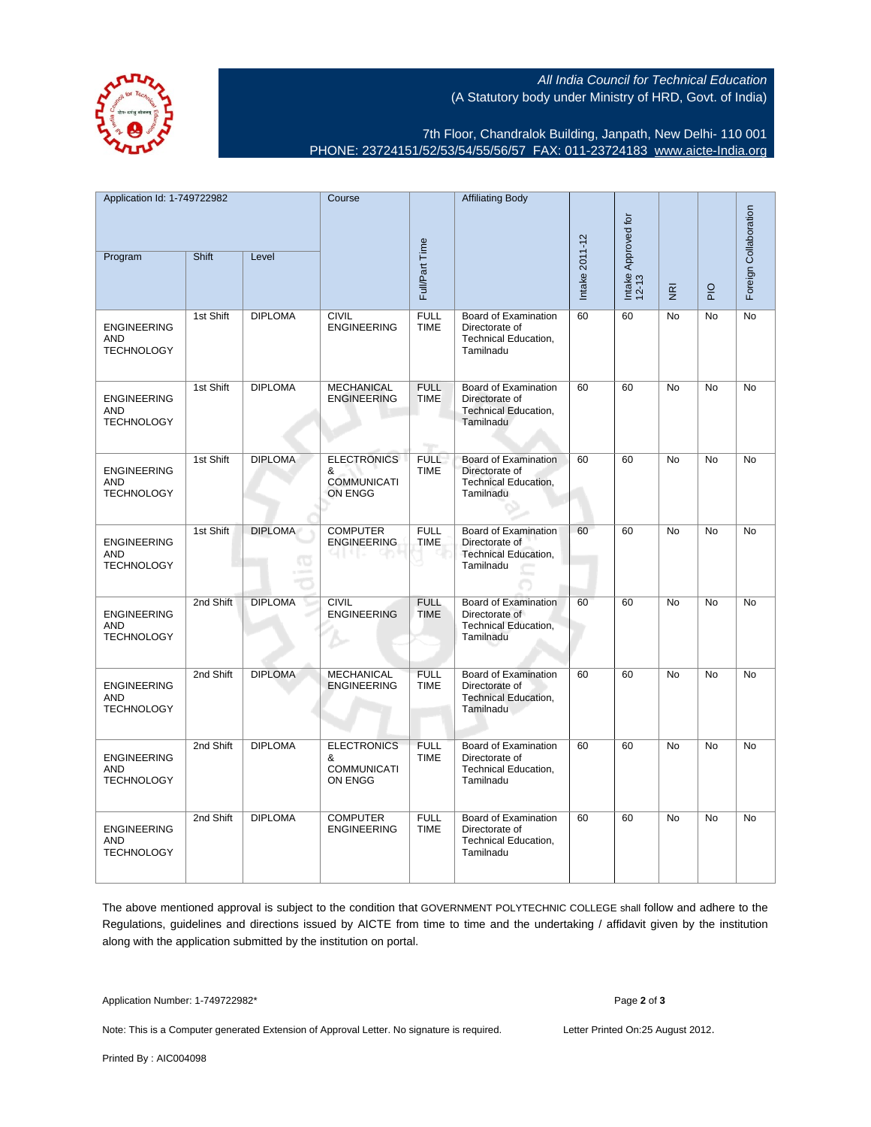All India Council for Technical Education (A Statutory body under Ministry of HRD, Govt. of India)

7th Floor, Chandralok Building, Janpath, New Delhi- 110 001 PHONE: 23724151/52/53/54/55/56/57 FAX: 011-23724183 [www.aicte-India.org](http://www.aicte-India.org)

| Application Id: 1-749722982                           |           | Course              |                                                          | <b>Affiliating Body</b>    |                                                                                           |                              |    |                                     |                       |           |
|-------------------------------------------------------|-----------|---------------------|----------------------------------------------------------|----------------------------|-------------------------------------------------------------------------------------------|------------------------------|----|-------------------------------------|-----------------------|-----------|
| Shift<br>Program<br>Level                             |           |                     |                                                          |                            |                                                                                           | Intake Approved for<br>12-13 |    |                                     | Foreign Collaboration |           |
|                                                       |           |                     |                                                          | Full/Part Time             |                                                                                           | Intake 2011-12               |    | $\overline{\underline{\mathbf{g}}}$ | $\overline{P}$        |           |
| <b>ENGINEERING</b><br><b>AND</b><br><b>TECHNOLOGY</b> | 1st Shift | <b>DIPLOMA</b>      | <b>CIVIL</b><br><b>ENGINEERING</b>                       | <b>FULL</b><br><b>TIME</b> | Board of Examination<br>Directorate of<br>Technical Education,<br>Tamilnadu               | 60                           | 60 | No                                  | No                    | No        |
| <b>ENGINEERING</b><br><b>AND</b><br><b>TECHNOLOGY</b> | 1st Shift | <b>DIPLOMA</b>      | <b>MECHANICAL</b><br><b>ENGINEERING</b>                  | <b>FULL</b><br><b>TIME</b> | Board of Examination<br>Directorate of<br><b>Technical Education,</b><br>Tamilnadu        | 60                           | 60 | <b>No</b>                           | No                    | No        |
| <b>ENGINEERING</b><br><b>AND</b><br><b>TECHNOLOGY</b> | 1st Shift | <b>DIPLOMA</b>      | <b>ELECTRONICS</b><br>&<br><b>COMMUNICATI</b><br>ON ENGG | <b>FULL</b><br><b>TIME</b> | <b>Board of Examination</b><br>Directorate of<br><b>Technical Education,</b><br>Tamilnadu | 60                           | 60 | <b>No</b>                           | No                    | No        |
| <b>ENGINEERING</b><br><b>AND</b><br><b>TECHNOLOGY</b> | 1st Shift | <b>DIPLOMA</b><br>œ | <b>COMPUTER</b><br><b>ENGINEERING</b>                    | <b>FULL</b><br><b>TIME</b> | <b>Board of Examination</b><br>Directorate of<br><b>Technical Education,</b><br>Tamilnadu | 60                           | 60 | <b>No</b>                           | No                    | No        |
| <b>ENGINEERING</b><br><b>AND</b><br><b>TECHNOLOGY</b> | 2nd Shift | <b>DIPLOMA</b>      | <b>CIVIL</b><br><b>ENGINEERING</b>                       | <b>FULL</b><br><b>TIME</b> | <b>Board of Examination</b><br>Directorate of<br><b>Technical Education,</b><br>Tamilnadu | 60                           | 60 | <b>No</b>                           | <b>No</b>             | <b>No</b> |
| <b>ENGINEERING</b><br><b>AND</b><br><b>TECHNOLOGY</b> | 2nd Shift | <b>DIPLOMA</b>      | <b>MECHANICAL</b><br><b>ENGINEERING</b>                  | <b>FULL</b><br><b>TIME</b> | <b>Board of Examination</b><br>Directorate of<br><b>Technical Education,</b><br>Tamilnadu | 60                           | 60 | <b>No</b>                           | No                    | No        |
| <b>ENGINEERING</b><br><b>AND</b><br><b>TECHNOLOGY</b> | 2nd Shift | <b>DIPLOMA</b>      | <b>ELECTRONICS</b><br>&<br><b>COMMUNICATI</b><br>ON ENGG | <b>FULL</b><br><b>TIME</b> | Board of Examination<br>Directorate of<br>Technical Education,<br>Tamilnadu               | 60                           | 60 | <b>No</b>                           | <b>No</b>             | <b>No</b> |
| <b>ENGINEERING</b><br><b>AND</b><br><b>TECHNOLOGY</b> | 2nd Shift | <b>DIPLOMA</b>      | <b>COMPUTER</b><br><b>ENGINEERING</b>                    | <b>FULL</b><br><b>TIME</b> | Board of Examination<br>Directorate of<br>Technical Education,<br>Tamilnadu               | 60                           | 60 | <b>No</b>                           | No                    | No        |

The above mentioned approval is subject to the condition that GOVERNMENT POLYTECHNIC COLLEGE shall follow and adhere to the Regulations, guidelines and directions issued by AICTE from time to time and the undertaking / affidavit given by the institution along with the application submitted by the institution on portal.

Application Number: 1-749722982\* Page **2** of **3**

Note: This is a Computer generated Extension of Approval Letter. No signature is required. Letter Printed On:25 August 2012.